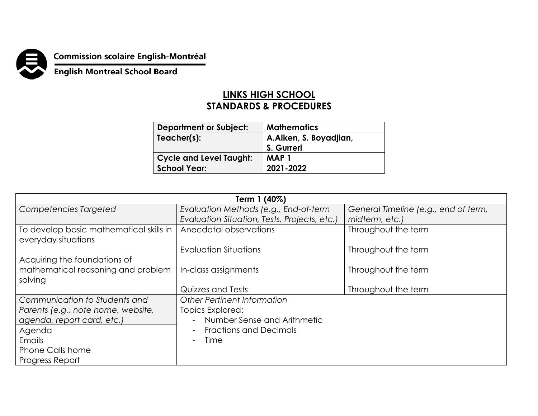

## **Commission scolaire English-Montréal<br>English Montreal School Board**

## **LINKS HIGH SCHOOL STANDARDS & PROCEDURES**

| <b>Department or Subject:</b>  | <b>Mathematics</b>     |
|--------------------------------|------------------------|
| Teacher(s):                    | A.Aiken, S. Boyadjian, |
|                                | S. Gurreri             |
| <b>Cycle and Level Taught:</b> | MAP 1                  |
| <b>School Year:</b>            | 2021-2022              |

| Term 1 (40%)                                                   |                                              |                                      |  |
|----------------------------------------------------------------|----------------------------------------------|--------------------------------------|--|
| Competencies Targeted                                          | Evaluation Methods (e.g., End-of-term        | General Timeline (e.g., end of term, |  |
|                                                                | Evaluation Situation, Tests, Projects, etc.) | midterm, etc.)                       |  |
| To develop basic mathematical skills in<br>everyday situations | Anecdotal observations                       | Throughout the term                  |  |
|                                                                | Evaluation Situations                        | Throughout the term                  |  |
| Acquiring the foundations of                                   |                                              |                                      |  |
| mathematical reasoning and problem                             | In-class assignments                         | Throughout the term                  |  |
| solving                                                        |                                              |                                      |  |
|                                                                | Quizzes and Tests                            | Throughout the term                  |  |
| Communication to Students and                                  | <b>Other Pertinent Information</b>           |                                      |  |
| Parents (e.g., note home, website,                             | Topics Explored:                             |                                      |  |
| agenda, report card, etc.)                                     | Number Sense and Arithmetic                  |                                      |  |
| Agenda                                                         | <b>Fractions and Decimals</b>                |                                      |  |
| Emails                                                         | Time                                         |                                      |  |
| <b>Phone Calls home</b>                                        |                                              |                                      |  |
| Progress Report                                                |                                              |                                      |  |